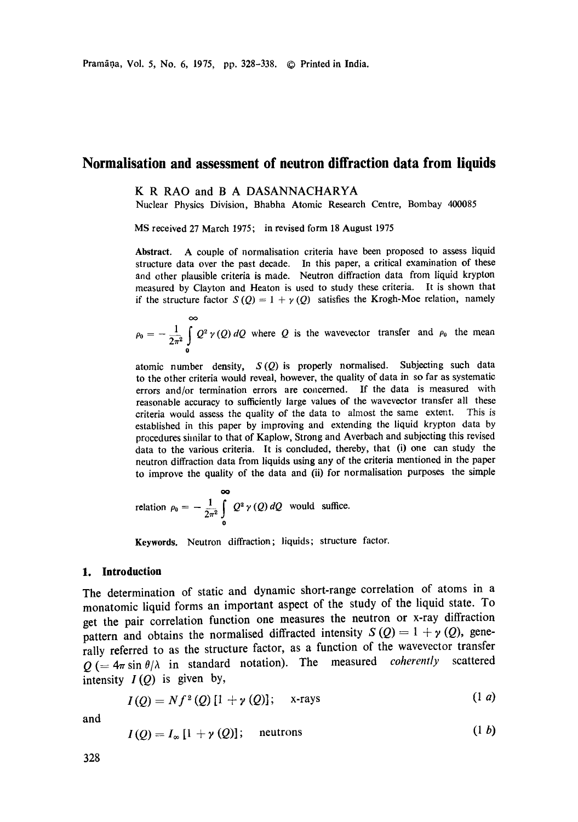# **Normalisation and assessment of neutron diffraction data from liquids**

# K R RAO and B A DASANNACHARYA

Nuclear Physics Division, Bhabha Atomic Research Centre, Bombay 400085

MS received 27 March 1975; in revised form 18 August 1975

**Abstract.** A couple of normalisation criteria have been proposed to assess liquid structure data over the past decade. In this paper, a critical examination of these and other plausible criteria is made. Neutron diffraction data from liquid krypton measured by Clayton and Heaton is used to study these criteria. It is shown that if the structure factor  $S(Q) = 1 + \gamma(Q)$  satisfies the Krogh-Moe relation, namely

 $\rho_0 = -\frac{1}{2\pi^2} \int Q^2 \gamma(Q) dQ$  where Q is the wavevector transfer and  $\rho_0$  the mean *o* 

atomic number density, *S(Q)* is properly normalised. Subjecting such data to the other criteria would reveal, however, the quality of data in so far as systematic errors and/or termination errors are concerned. If the data is measured with reasonable accuracy to sufficiently large values of the wavevector transfer all these criteria would assess the quality of the data to almost the same extent. This is established in this paper by improving and extending the liquid krypton data by procedures similar to that of Kaplow, Strong and Averbach and subjecting this revised data to the various criteria. It is concluded, thereby, that (i) one can study the neutron diffraction data from liquids using any of the criteria mentioned in the paper to improve the quality of the data and (ii) for normalisation purposes the simple

relation 
$$
\rho_0 = -\frac{1}{2\pi^2} \int_0^\infty Q^2 \gamma(Q) dQ
$$
 would suffice.

Keywords. Neutron diffraction; liquids; structure factor.

## **1. Introduction**

The determination of static and dynamic short-range correlation of atoms in a monatomic liquid forms an important aspect of the study of the liquid state. To get the pair correlation function one measures the neutron or x-ray diffraction pattern and obtains the normalised diffracted intensity  $S(Q) = 1 + \gamma(Q)$ , generally referred to as the structure factor, as a function of the wavevector transfer  $Q$  (=  $4\pi \sin \theta / \lambda$  in standard notation). The measured *coherently* scattered intensity  $I(Q)$  is given by,

$$
I(Q) = Nf^{2}(Q) [1 + \gamma(Q)]; \quad \text{x-rays} \tag{1 a}
$$

and

$$
I(Q) = I_{\infty}[1 + \gamma(Q)]; \quad \text{neutrons} \tag{1 b}
$$

 $1.1 - 1.1$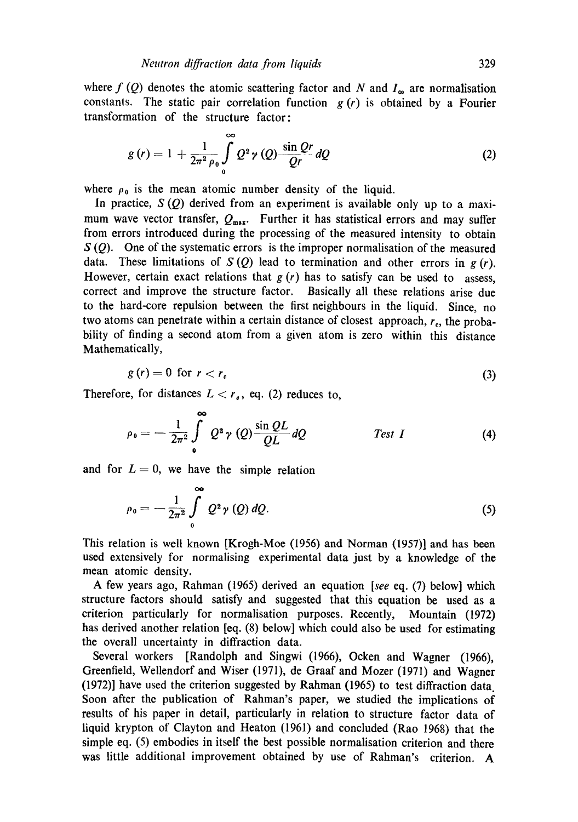$\sim$ 

where  $f(Q)$  denotes the atomic scattering factor and N and  $I_{\infty}$  are normalisation constants. The static pair correlation function  $g(r)$  is obtained by a Fourier transformation of the structure factor:

$$
g(r) = 1 + \frac{1}{2\pi^2 \rho_0} \int\limits_0^\infty Q^2 \gamma(Q) \frac{\sin Qr}{Qr} dQ \qquad (2)
$$

where  $\rho_0$  is the mean atomic number density of the liquid.

In practice,  $S(Q)$  derived from an experiment is available only up to a maximum wave vector transfer,  $Q_{\text{max}}$ . Further it has statistical errors and may suffer from errors introduced during the processing of the measured intensity to obtain  $S(Q)$ . One of the systematic errors is the improper normalisation of the measured data. These limitations of  $S(Q)$  lead to termination and other errors in  $g(r)$ . However, certain exact relations that  $g(r)$  has to satisfy can be used to assess, correct and improve the structure factor. Basically all these relations arise due to the hard-core repulsion between the first neighbours in the liquid. Since, no two atoms can penetrate within a certain distance of closest approach,  $r_c$ , the probability of finding a second atom from a given atom is zero within this distance Mathematically,

$$
g(r) = 0 \text{ for } r < r_c \tag{3}
$$

Therefore, for distances  $L < r<sub>e</sub>$ , eq. (2) reduces to,

$$
\rho_0 = -\frac{1}{2\pi^2} \int_{0}^{\infty} Q^2 \gamma (Q) \frac{\sin QL}{QL} dQ \qquad \qquad \text{Test } I \tag{4}
$$

and for  $L=0$ , we have the simple relation

$$
\rho_0 = -\frac{1}{2\pi^2} \int_{0}^{\infty} Q^2 \gamma(Q) \, dQ. \tag{5}
$$

This relation is well known [Krogh-Moe (1956) and Norman (1957)] and has been used extensively for normalising experimental data just by a knowledge of the mean atomic density.

A few years ago, Rahman (1965) derived an equation *[see* eq. (7) below] which structure factors should satisfy and suggested that this equation be used as a criterion particularly for normalisation purposes. Recently, Mountain (1972) has derived another relation [eq. (8) below] which could also be used for estimating the overall uncertainty in diffraction data.

Several workers [Randolph and Singwi (1966), Ocken and Wagner (1966), Greenfield, Wellendorf and Wiser (1971), de Graaf and Mozer (1971) and Wagner (1972)] have used the criterion suggested by Rahman (1965) to test diffraction data. Soon after the publication of Rahman's paper, we studied the implications of results of his paper in detail, particularly in relation to structure factor data of liquid krypton of Clayton and Heaton (1961) and concluded (Rao 1968) that the simple eq. (5) embodies in itself the best possible normalisation criterion and there was little additional improvement obtained by use of Rahman's criterion. A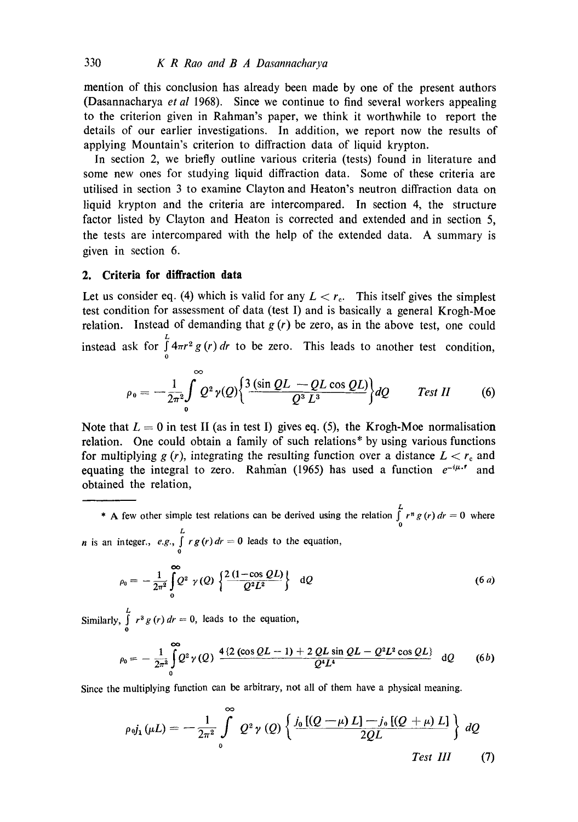mention of this conclusion has already been made by one of the present authors (Dasannacharya *et al* 1968). Since we continue to find several workers appealing to the criterion given in Rahman's paper, we think it worthwhile to report the details of our earlier investigations. In addition, we report now the results of applying Mountain's criterion to diffraction data of liquid krypton.

In section 2, we briefly outline various criteria (tests) found in literature and some new ones for studying liquid diffraction data. Some of these criteria are utilised in section 3 to examine Clayton and Heaton's neutron diffraction data on liquid krypton and the criteria are intercompared. In section 4, the structure factor listed by Clayton and Heaton is corrected and extended and in section 5, the tests are intercompared with the help of the extended data. A summary is given in section 6.

# **2. Criteria for diffraction data**

Let us consider eq. (4) which is valid for any  $L < r<sub>c</sub>$ . This itself gives the simplest test condition for assessment of data (test I) and is basically a general Krogh-Moe relation. Instead of demanding that  $g(r)$  be zero, as in the above test, one could instead ask for  $\int_{0}^{L} 4\pi r^2 g(r) dr$  to be zero. This leads to another test condition,

$$
\rho_0 = -\frac{1}{2\pi^2} \int_0^\infty Q^2 \gamma(Q) \bigg\{ \frac{3 \left(\sin QL - QL \cos QL\right)}{Q^3 L^3} \bigg\} dQ \qquad \text{Test II} \qquad (6)
$$

Note that  $L = 0$  in test II (as in test I) gives eq. (5), the Krogh-Moe normalisation relation. One could obtain a family of such relations\* by using various functions for multiplying g (r), integrating the resulting function over a distance  $L < r_c$  and equating the integral to zero. Rahman (1965) has used a function  $e^{-i\mu \cdot \cdot}$  and obtained the relation,

\* A few other simple test relations can be derived using the relation  $\int_{0}^{L} r^{n} g(r) dr = 0$  where *n* is an integer., *e.g.*,  $\int_{0}^{L} r g(r) dr = 0$  leads to the equation,

$$
\rho_0 = -\frac{1}{2\pi^2} \int_{0}^{\infty} Q^2 \gamma(Q) \left\{ \frac{2(1-\cos QL)}{Q^2 L^2} \right\} dQ \qquad (6a)
$$

Similarly,  $\int_{0}^{L} r^3 g(r) dr = 0$ , leads to the equation,

$$
\rho_0 = -\frac{1}{2\pi^2} \int\limits_0^\infty Q^2 \gamma(Q) \frac{4 \left\{2 \left(\cos QL - 1\right) + 2 \, QL \sin QL - Q^2 L^2 \cos QL\right\}}{Q^4 L^4} \, \mathrm{d}Q \qquad (6b)
$$

Since the multiplying function can be arbitrary, not all of them have a physical meaning.

$$
\rho_{0}j_{1}(\mu L) = -\frac{1}{2\pi^{2}}\int_{0}^{\infty} Q^{2}\gamma(Q) \left\{ \frac{j_{0}[(Q-\mu)L]-j_{0}[(Q+\mu)L]}{2QL} \right\} dQ
$$
  
\nTest III (7)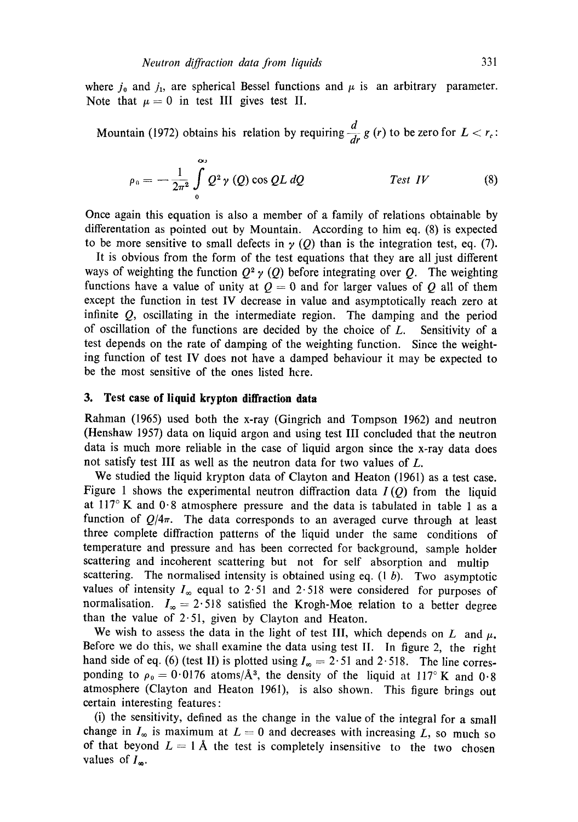where  $j_0$  and  $j_1$ , are spherical Bessel functions and  $\mu$  is an arbitrary parameter. Note that  $\mu = 0$  in test III gives test II.

Mountain (1972) obtains his relation by requiring 
$$
\frac{d}{dr}g(r)
$$
 to be zero for  $L < r_c$ :

$$
\rho_0 = -\frac{1}{2\pi^2} \int\limits_0^\infty Q^2 \gamma(Q) \cos QL \, dQ \qquad \qquad \text{Test } IV \qquad (8)
$$

Once again this equation is also a member of a family of relations obtainable by differentation as pointed out by Mountain. According to him eq. (8) is expected to be more sensitive to small defects in  $\gamma$  (Q) than is the integration test, eq. (7).

It is obvious from the form of the test equations that they are all just different ways of weighting the function  $Q^2 \gamma(Q)$  before integrating over Q. The weighting functions have a value of unity at  $Q = 0$  and for larger values of Q all of them except the function in test IV decrease in value and asymptotically reach zero at infinite Q, oscillating in the intermediate region. The damping and the period of oscillation of the functions are decided by the choice of  $L$ . Sensitivity of a test depends on the rate of damping of the weighting function. Since the weighting function of test IV does not have a damped behaviour it may be expected to be the most sensitive of the ones listed here.

## **3. Test case of liquid krypton diffraction data**

Rahman (1965) used both the x-ray (Gingrich and Tompson 1962) and neutron (Henshaw 1957) data on liquid argon and using test III concluded that the neutron data is much more reliable in the case of liquid argon since the x-ray data does not satisfy test III as well as the neutron data for two values of L.

We studied the liquid krypton data of Clayton and Heaton (196l) as a test case. Figure 1 shows the experimental neutron diffraction data  $I(Q)$  from the liquid at  $117^{\circ}$  K and  $0.8$  atmosphere pressure and the data is tabulated in table 1 as a function of  $Q/4\pi$ . The data corresponds to an averaged curve through at least three complete diffraction patterns of the liquid under the same conditions of temperature and pressure and has been corrected for background, sample holder scattering and incoherent scattering but not for self absorption and multip scattering. The normalised intensity is obtained using eq.  $(1\ b)$ . Two asymptotic values of intensity  $I_{\infty}$  equal to 2.51 and 2.518 were considered for purposes of normalisation.  $I_{\infty} = 2.518$  satisfied the Krogh-Moe relation to a better degree than the value of  $2.51$ , given by Clayton and Heaton.

We wish to assess the data in the light of test III, which depends on L and  $\mu$ . Before we do this, we shall examine the data using test II. In figure 2, the right hand side of eq. (6) (test II) is plotted using  $I_{\infty} = 2.51$  and 2.518. The line corresponding to  $\rho_0 = 0.0176$  atoms/ $\AA^3$ , the density of the liquid at 117°K and 0.8 atmosphere (Clayton and Heaton 1961), is also shown. This figure brings out certain interesting features:

(i) the sensitivity, defined as the change in the value of the integral for a small change in  $I_{\infty}$  is maximum at  $L = 0$  and decreases with increasing L, so much so of that beyond  $L = 1$  Å the test is completely insensitive to the two chosen values of  $I_{\infty}$ .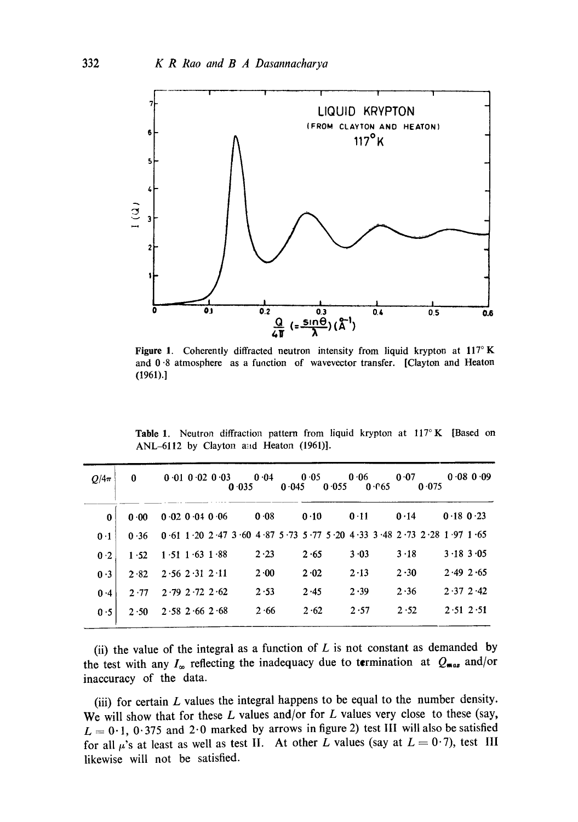

Figure 1. Coherently diffracted neutron intensity from liquid krypton at  $117^\circ$  K and 0.8 atmosphere as a function of wavevector transfer. [Clayton and Heaton (1961).]

Table 1. Neutron diffraction pattern from liquid krypton at  $117^\circ$  K [Based on ANL-6112 by Clayton and Heaton (1961)].

| $O/4\pi$       | $\bf{0}$ | $0.01$ $0.02$ $0.03$<br>0.035                                         | 0.04<br>0.045 | 0.05<br>0.055 | 0.06<br>0.65 | 0.07<br>0.075 | $0.08$ 0.09   |
|----------------|----------|-----------------------------------------------------------------------|---------------|---------------|--------------|---------------|---------------|
| 0              | 0.00     | $0.02$ $0.04$ $0.06$                                                  | 0.08          | 0.10          | 0.11         | 0.14          | $0.18$ 0.23   |
| 0 <sub>1</sub> | 0.36     | 0 61 1 20 2 47 3 60 4 87 5 73 5 77 5 20 4 33 3 48 2 73 2 28 1 97 1 65 |               |               |              |               |               |
| 0.2            | 1.52     | $1.51$ 1.63 1.88                                                      | 2.23          | 2.65          | 3.03         | $3 \cdot 18$  | 3.183.05      |
| 0.3            | 2.82     | $2.56$ $2.31$ $2.11$                                                  | $2 \cdot 00$  | 2.02          | 2.13         | 2.30          | 2.492.65      |
| 0.4            | 2.77     | $2.79$ $2.72$ $2.62$                                                  | 2.53          | 2.45          | 2.39         | 2.36          | $2.37$ $2.42$ |
| 0.5            | 2.50     | $2.58$ $2.66$ $2.68$                                                  | 2.66          | 2.62          | 2.57         | 2.52          | $2.51$ $2.51$ |

(ii) the value of the integral as a function of  $L$  is not constant as demanded by the test with any  $I_{\infty}$  reflecting the inadequacy due to termination at  $Q_{\text{max}}$  and/or inaccuracy of the data.

(iii) for certain  $L$  values the integral happens to be equal to the number density. We will show that for these  $L$  values and/or for  $L$  values very close to these (say,  $L = 0.1$ , 0.375 and 2.0 marked by arrows in figure 2) test III will also be satisfied for all  $\mu$ 's at least as well as test II. At other L values (say at  $L = 0.7$ ), test III likewise will not be satisfied.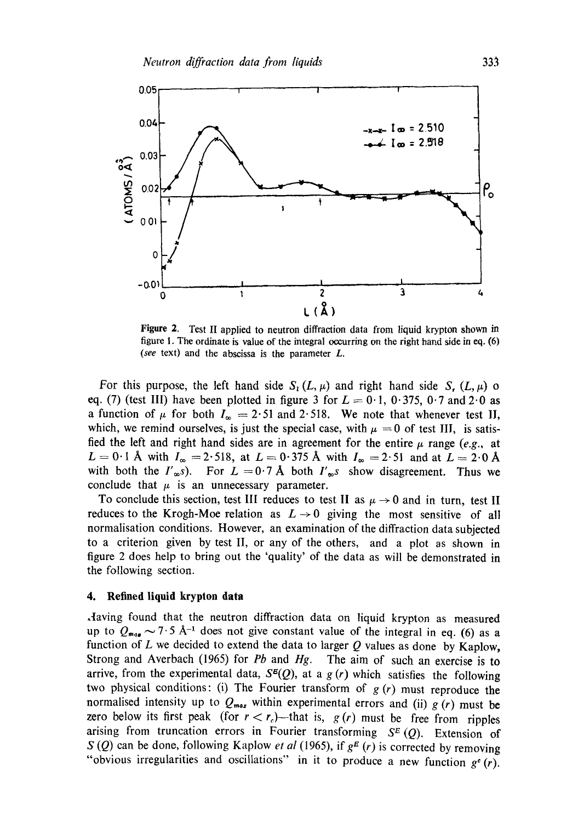

**Figure 2.** Test II applied to neutron diffraction data from liquid krypton shown in figure 1. The ordinate is value of the integral occurring on the right hand side in eq. (6) *(see* text) and the abscissa is the parameter L.

For this purpose, the left hand side  $S_i(L,\mu)$  and right hand side S,  $(L,\mu)$  o eq. (7) (test III) have been plotted in figure 3 for  $L = 0.1$ ,  $0.375$ ,  $0.7$  and  $2.0$  as a function of  $\mu$  for both  $I_{\infty} = 2.51$  and 2.518. We note that whenever test II, which, we remind ourselves, is just the special case, with  $\mu = 0$  of test III, is satisfied the left and right hand sides are in agreement for the entire  $\mu$  range *(e.g., at*  $L=0.1$  Å with  $I_{\infty}=2.518$ , at  $L=0.375$  Å with  $I_{\infty}=2.51$  and at  $L=2.0$  Å with both the  $I'_{\infty}s$ ). For  $L = 0.7$  Å both  $I'_{\infty}s$  show disagreement. Thus we conclude that  $\mu$  is an unnecessary parameter.

To conclude this section, test III reduces to test II as  $\mu \rightarrow 0$  and in turn, test II reduces to the Krogh-Moe relation as  $L \rightarrow 0$  giving the most sensitive of all normaIisation conditions. However, an examination of the diffraction data subjected to a criterion given by test II, or any of the others, and a plot as shown in figure 2 does help to bring out the 'quality' of the data as will be demonstrated in the following section.

#### **4. Refined liquid krypton data**

.Having found that the neutron diffraction data on liquid krypton as measured up to  $Q_{mag} \sim 7.5$  Å<sup>-1</sup> does not give constant value of the integral in eq. (6) as a function of  $L$  we decided to extend the data to larger  $Q$  values as done by Kaplow, Strong and Averbach (1965) for *Pb* and *Hg.* The aim of such an exercise is to arrive, from the experimental data,  $S^{g}(Q)$ , at a g (r) which satisfies the following two physical conditions: (i) The Fourier transform of  $g(r)$  must reproduce the normalised intensity up to  $Q_{max}$  within experimental errors and (ii)  $g(r)$  must be zero below its first peak (for  $r < r_c$ )—that is,  $g(r)$  must be free from ripples arising from truncation errors in Fourier transforming  $S<sup>E</sup>(Q)$ . Extension of S (Q) can be done, following Kaplow *et al* (1965), if  $g<sup>E</sup>$  (*r*) is corrected by removing "obvious irregularities and oscillations" in it to produce a new function  $g^c(r)$ .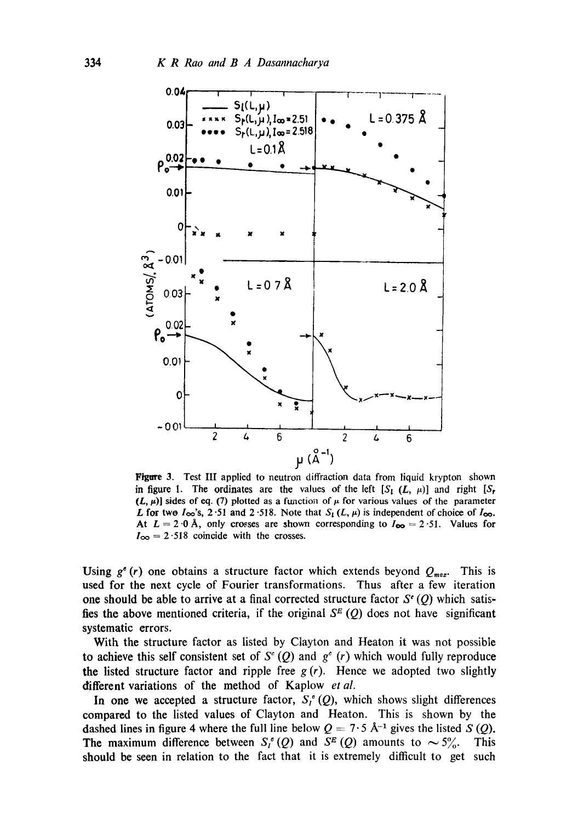

Figure 3. Test III applied to neutron diffraction data from liquid krypton shown in figure 1. The ordinates are the values of the left  $[S_i(L, \mu)]$  and right  $[S_r]$  $(L, \mu)$ ] sides of eq. (7) plotted as a function of  $\mu$  for various values of the parameter L for two  $I_{\infty}$ 's, 2.51 and 2.518. Note that  $S_l(L, \mu)$  is independent of choice of  $I_{\infty}$ . At  $L = 2.0$  Å, only crosses are shown corresponding to  $I_{\infty} = 2.51$ . Values for  $I_{\infty} = 2.518$  coincide with the crosses.

Using  $g^e(r)$  one obtains a structure factor which extends beyond  $Q_{max}$ . This is used for the next cycle of Fourier transformations. Thus after a few iteration one should be able to arrive at a final corrected structure factor  $S<sup>c</sup>$  (O) which satisfies the above mentioned criteria, if the original  $S<sup>E</sup>(Q)$  does not have significant systematic errors.

With the structure factor as listed by Clayton and Heaton it was not possible to achieve this self consistent set of  $S^{\circ}(Q)$  and  $g^{\circ}(r)$  which would fully reproduce the listed structure factor and ripple free  $g(r)$ . Hence we adopted two slightly different variations of the method of Kaplow *et al.* 

In one we accepted a structure factor,  $S_1^{\circ}(Q)$ , which shows slight differences compared to the listed values of Clayton and Heaton. This is shown by the dashed lines in figure 4 where the full line below  $Q = 7.5$  Å<sup>-1</sup> gives the listed S (Q). The maximum difference between  $S_l^{\sigma}(Q)$  and  $S^E(Q)$  amounts to  $\sim 5\%$ . This should be seen in relation to the fact that it is extremely difficult to get such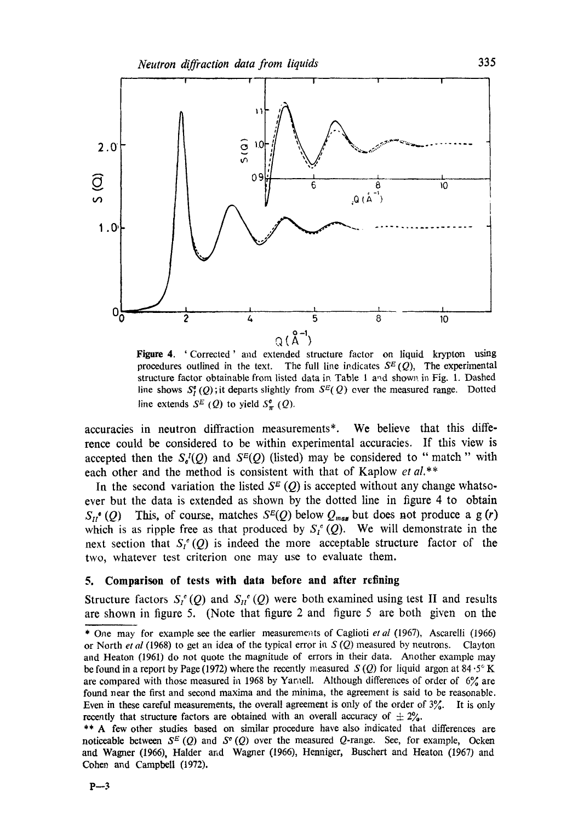

**Figure** 4. 'Corrected' and extended structure factor on liquid krypton using procedures outlined in the text. The full line indicates  $S<sup>E</sup>(Q)$ , The experimental structure factor obtainable from listed data in Table 1 and shown in Fig. 1. Dashed line shows  $S_I^{\sigma}(Q)$ ; it departs slightly from  $S^{E}(Q)$  ever the measured range. Dotted line extends  $S^E(Q)$  to yield  $S^{\sigma}_{\pi}(Q)$ .

accuracies in neutron diffraction measurements\*. We believe that this difference could be considered to be within experimental accuracies. If this view is accepted then the  $S_{\epsilon}^{I}(Q)$  and  $S^{E}(Q)$  (listed) may be considered to "match" with each other and the method is consistent with that of Kaplow *et al.\*\** 

In the second variation the listed  $S^E(Q)$  is accepted without any change whatsoever but the data is extended as shown by the dotted line in figure 4 to obtain  $S_{II}$ <sup>e</sup> (Q) This, of course, matches  $S^{E}(Q)$  below  $Q_{max}$  but does not produce a g (r) which is as ripple free as that produced by  $S_i^{\circ}(Q)$ . We will demonstrate in the next section that  $S_f^{\circ}(Q)$  is indeed the more acceptable structure factor of the two, whatever test criterion one may use to evaluate them.

### **5. Comparison of tests with data before and after refining**

Structure factors  $S_t^{\epsilon}(Q)$  and  $S_{tt}^{\epsilon}(Q)$  were both examined using test II and results are shown in figure 5. (Note that figure 2 and figure 5 are both given on the

<sup>\*</sup> One may for example see the earlier measureme~ats of Caglioti *etal* (1967), Ascarelli (1966) or North *et al* (1968) to get an idea of the typical error in S (Q) measured by neutrons. Clayton and Heaton (1961) do not quote the magnitude of errors in their data. Another example may be found in a report by Page (1972) where the recently measured  $S(Q)$  for liquid argon at 84.5° K are compared with those measured in 1968 by Yamell. Although differences of order of  $6\%$  are found near the first and second maxima and the minima, the agreement is said to be reasonable. Even in these careful measurements, the overall agreement is only of the order of  $3\frac{3}{6}$ . It is only recently that structure factors are obtained with an overall accuracy of  $\pm 2\%$ .

<sup>\*\*</sup> A few other studies based on similar procedure have also indicated that differences are noticeable between  $S^E(Q)$  and  $S^e(Q)$  over the measured Q-range. See, for example, Ocken and Wagner (1966), Halder and Wagner (1966), Henniger, Buschert and Heaton (1967) and Cohen and Campbell (1972).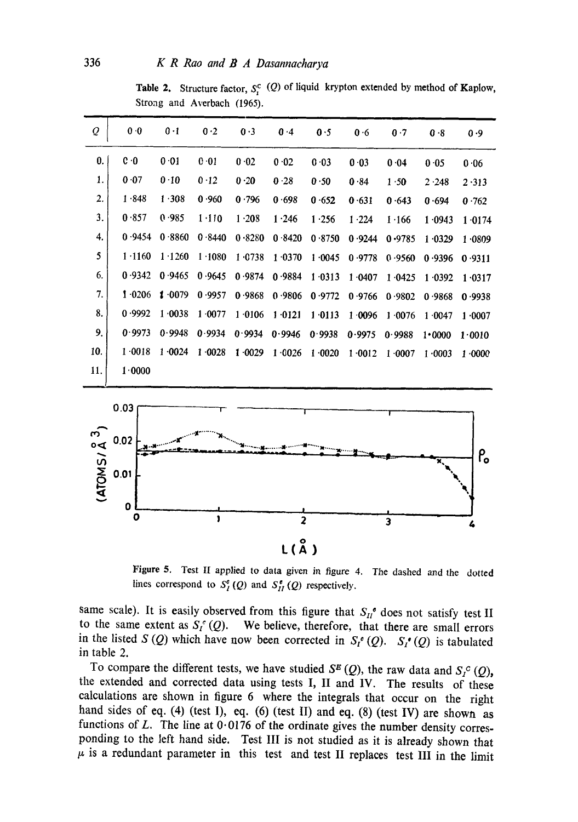Table 2. Structure factor,  $S_r^c$  (Q) of liquid krypton extended by method of Kaplow, Strong and Averbach (1965).

| Q   | 0.0         | $0 - 1$ | 0.2       | 0.3    | 0.4    | 0.5    | 0.6    | 0.7    | 0.8    | 0.9    |
|-----|-------------|---------|-----------|--------|--------|--------|--------|--------|--------|--------|
| 0.  | $c \cdot 0$ | 0.01    | 0.01      | 0.02   | 0.02   | 0.03   | 0.03   | 0.04   | 0.05   | 0.06   |
| 1.  | 0.07        | 0.10    | 0.12      | 0.20   | 0.28   | 0.50   | 0.84   | 1.50   | 2.248  | 2.313  |
| 2.  | 1.848       | 1.308   | 0.960     | 0.796  | 0.698  | 0.652  | 0.631  | 0.643  | 0.694  | 0.762  |
| 3.  | 0.857       | 0.985   | $1 - 110$ | 1.208  | 1.246  | 1.256  | 1.224  | 1.166  | 1.0943 | 1.0174 |
| 4.  | 0.9454      | 0.8860  | 0.8440    | 0.8280 | 0.8420 | 0.8750 | 0.9244 | 0.9785 | 1.0329 | 1.0809 |
| 5   | 1.1160      | 1.1260  | 1.1080    | 1.0738 | 1.0370 | 1.0045 | 0.9778 | 0.9560 | 0.9396 | 0.9311 |
| 6.  | 0.9342      | 0.9465  | 0.9645    | 0.9874 | 0.9884 | 1.0313 | 1.0407 | 1.0425 | 1.0392 | 1.0317 |
| 7.  | 1.0206      | 1.0079  | 0.9957    | 0.9868 | 0.9806 | 0.9772 | 0.9766 | 0.9802 | 0.9868 | 0.9938 |
| 8.  | 0.9992      | 1.0038  | 1.0077    | 1.0106 | 1.0121 | 1.0113 | 1.0096 | 1.0076 | 1.0047 | 1.0007 |
| 9.  | 0.9973      | 0.9948  | 0.9934    | 0.9934 | 0.9946 | 0.9938 | 0.9975 | 0.9988 | 1.0000 | 1.0010 |
| 10. | 1.0018      | 1.0024  | 1.0028    | 1.0029 | 1.0026 | 1.0020 | 1.0012 | 1.0007 | 1.0003 | 1.0000 |
| 11. | 1.0000      |         |           |        |        |        |        |        |        |        |



Figure 5. Test II applied to data given in figure 4. The dashed and the dotted lines correspond to  $S_I^{\sigma}(Q)$  and  $S_{II}^{\sigma}(Q)$  respectively.

same scale). It is easily observed from this figure that  $S_{II}^{\bullet}$  does not satisfy test II to the same extent as  $S_f^c(Q)$ . We believe, therefore, that there are small errors in the listed S (Q) which have now been corrected in  $S_t^{\bullet}(Q)$ .  $S_t^{\bullet}(Q)$  is tabulated in table 2.

To compare the different tests, we have studied  $S^E(Q)$ , the raw data and  $S^C(Q)$ , the extended and corrected data using tests I, II and IV. The results of these calculations are shown in figure 6 where the integrals that occur on the right hand sides of eq. (4) (test I), eq. (6) (test II) and eq. (8) (test IV) are shown as functions of  $L$ . The line at  $0.0176$  of the ordinate gives the number density corresponding to the left hand side. Test III is not studied as it is already shown that  $\mu$  is a redundant parameter in this test and test II replaces test III in the limit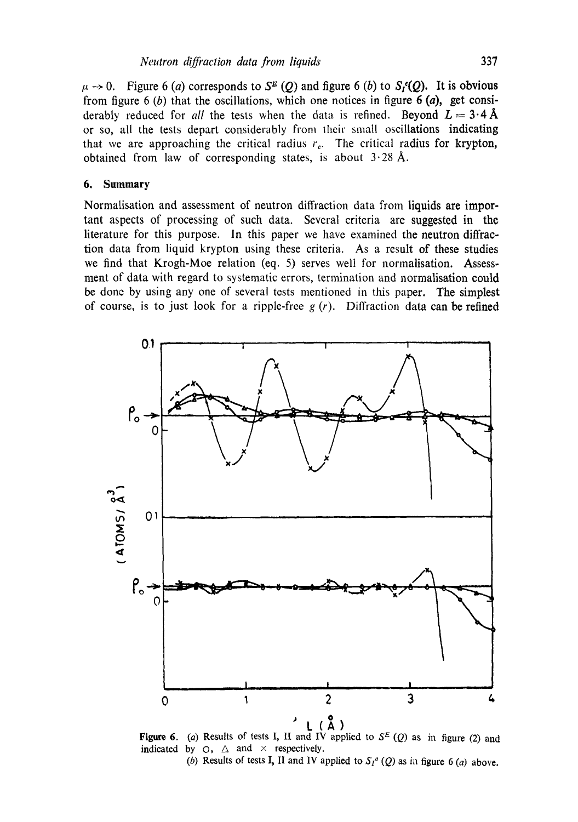$\mu \rightarrow 0$ . Figure 6 (a) corresponds to S<sup>E</sup> (Q) and figure 6 (b) to  $S_t(Q)$ . It is obvious from figure 6 (b) that the oscillations, which one notices in figure 6 (a), get considerably reduced for *all* the tests when the data is refined. Beyond  $L = 3.4 \text{ Å}$ or so, all the tests depart considerably from their small oscillations indicating that we are approaching the critical radius  $r<sub>e</sub>$ . The critical radius for krypton, obtained from law of corresponding states, is about  $3.28$  Å.

### 6. Summary

Normalisation and assessment of neutron diffraction data from liquids are important aspects of processing of such data. Several criteria are suggested in the literature for this purpose. In this paper we have examined the neutron diffraction data from liquid krypton using these criteria. As a result of these studies we find that Krogh-Moe relation (eq. 5) serves well for normalisation. Assessment of data with regard to systematic errors, termination and normalisation could be done by using any one of several tests mentioned in this paper. The simplest of course, is to just look for a ripple-free  $g(r)$ . Diffraction data can be refined



**Figure 6.** (a) Results of tests I, II and IV applied to  $S<sup>E</sup>$  (Q) as in figure (2) and indicated by  $\bigcirc$ ,  $\bigtriangleup$  and  $\times$  respectively. (b) Results of tests I, II and IV applied to  $S_l^o(Q)$  as in figure 6 (a) above.